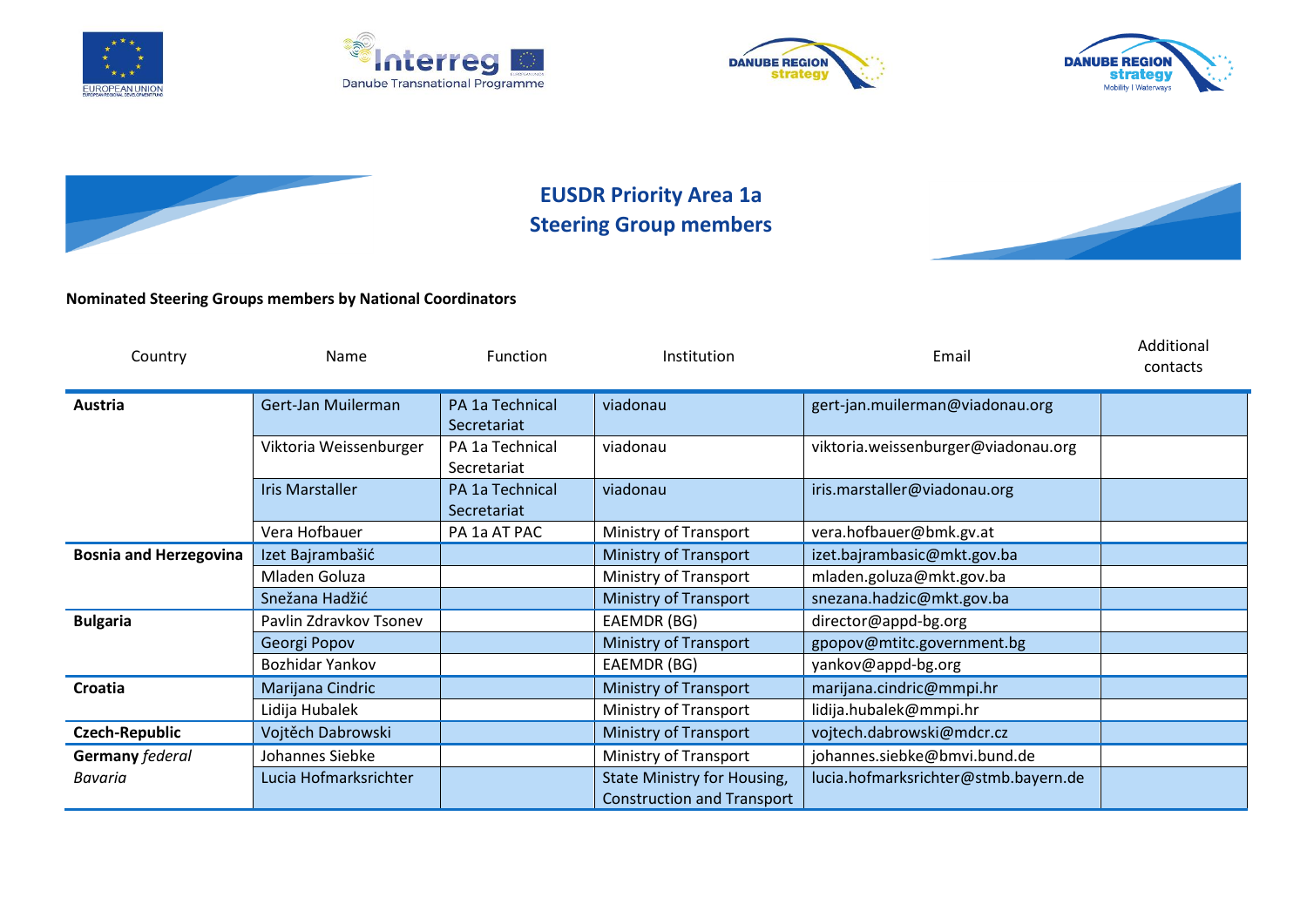









## **EUSDR Priority Area 1a Steering Group members**



## **Nominated Steering Groups members by National Coordinators**

| Country                       | <b>Name</b>            | <b>Function</b>                | Institution                                                      | Email                                | Additional<br>contacts |
|-------------------------------|------------------------|--------------------------------|------------------------------------------------------------------|--------------------------------------|------------------------|
| Austria                       | Gert-Jan Muilerman     | PA 1a Technical<br>Secretariat | viadonau                                                         | gert-jan.muilerman@viadonau.org      |                        |
|                               | Viktoria Weissenburger | PA 1a Technical<br>Secretariat | viadonau                                                         | viktoria.weissenburger@viadonau.org  |                        |
|                               | <b>Iris Marstaller</b> | PA 1a Technical<br>Secretariat | viadonau                                                         | iris.marstaller@viadonau.org         |                        |
|                               | Vera Hofbauer          | PA 1a AT PAC                   | Ministry of Transport                                            | vera.hofbauer@bmk.gv.at              |                        |
| <b>Bosnia and Herzegovina</b> | Izet Bajrambašić       |                                | Ministry of Transport                                            | izet.bajrambasic@mkt.gov.ba          |                        |
|                               | Mladen Goluza          |                                | Ministry of Transport                                            | mladen.goluza@mkt.gov.ba             |                        |
|                               | Snežana Hadžić         |                                | Ministry of Transport                                            | snezana.hadzic@mkt.gov.ba            |                        |
| <b>Bulgaria</b>               | Pavlin Zdravkov Tsonev |                                | EAEMDR (BG)                                                      | director@appd-bg.org                 |                        |
|                               | Georgi Popov           |                                | Ministry of Transport                                            | gpopov@mtitc.government.bg           |                        |
|                               | Bozhidar Yankov        |                                | EAEMDR (BG)                                                      | yankov@appd-bg.org                   |                        |
| Croatia                       | Marijana Cindric       |                                | <b>Ministry of Transport</b>                                     | marijana.cindric@mmpi.hr             |                        |
|                               | Lidija Hubalek         |                                | Ministry of Transport                                            | lidija.hubalek@mmpi.hr               |                        |
| <b>Czech-Republic</b>         | Vojtěch Dabrowski      |                                | <b>Ministry of Transport</b>                                     | vojtech.dabrowski@mdcr.cz            |                        |
| Germany federal               | Johannes Siebke        |                                | Ministry of Transport                                            | johannes.siebke@bmvi.bund.de         |                        |
| Bavaria                       | Lucia Hofmarksrichter  |                                | State Ministry for Housing,<br><b>Construction and Transport</b> | lucia.hofmarksrichter@stmb.bayern.de |                        |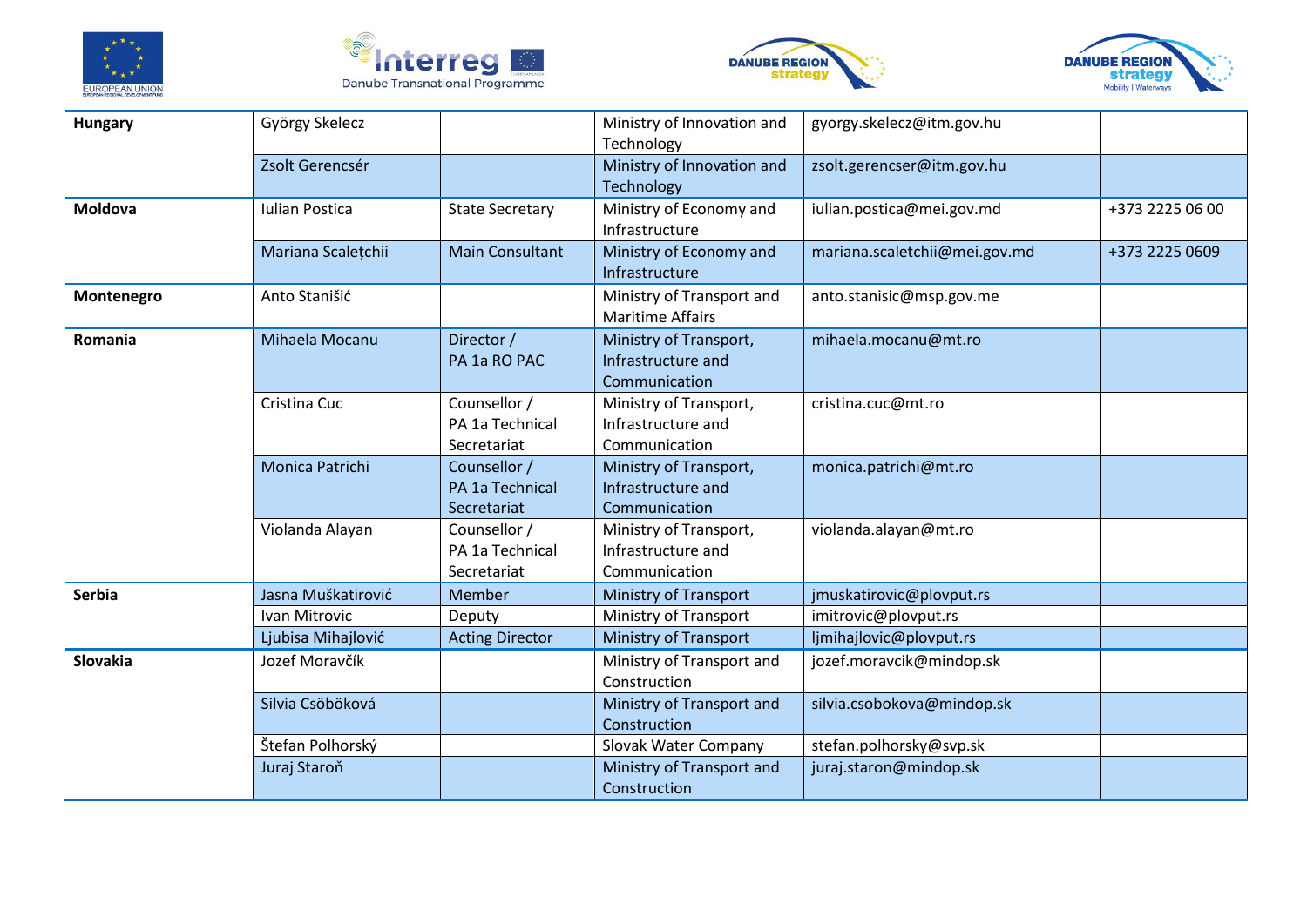







| <b>Hungary</b> | György Skelecz        |                        | Ministry of Innovation and   | gyorgy.skelecz@itm.gov.hu     |                 |
|----------------|-----------------------|------------------------|------------------------------|-------------------------------|-----------------|
|                |                       |                        | Technology                   |                               |                 |
|                | Zsolt Gerencsér       |                        | Ministry of Innovation and   | zsolt.gerencser@itm.gov.hu    |                 |
|                |                       |                        | Technology                   |                               |                 |
| <b>Moldova</b> | <b>Iulian Postica</b> | <b>State Secretary</b> | Ministry of Economy and      | iulian.postica@mei.gov.md     | +373 2225 06 00 |
|                |                       |                        | Infrastructure               |                               |                 |
|                | Mariana Scalețchii    | <b>Main Consultant</b> | Ministry of Economy and      | mariana.scaletchii@mei.gov.md | +373 2225 0609  |
|                |                       |                        | Infrastructure               |                               |                 |
| Montenegro     | Anto Stanišić         |                        | Ministry of Transport and    | anto.stanisic@msp.gov.me      |                 |
|                |                       |                        | <b>Maritime Affairs</b>      |                               |                 |
| Romania        | Mihaela Mocanu        | Director /             | Ministry of Transport,       | mihaela.mocanu@mt.ro          |                 |
|                |                       | PA 1a RO PAC           | Infrastructure and           |                               |                 |
|                |                       |                        | Communication                |                               |                 |
|                | Cristina Cuc          | Counsellor /           | Ministry of Transport,       | cristina.cuc@mt.ro            |                 |
|                |                       | PA 1a Technical        | Infrastructure and           |                               |                 |
|                |                       | Secretariat            | Communication                |                               |                 |
|                | Monica Patrichi       | Counsellor /           | Ministry of Transport,       | monica.patrichi@mt.ro         |                 |
|                |                       | PA 1a Technical        | Infrastructure and           |                               |                 |
|                |                       | Secretariat            | Communication                |                               |                 |
|                | Violanda Alayan       | Counsellor /           | Ministry of Transport,       | violanda.alayan@mt.ro         |                 |
|                |                       | PA 1a Technical        | Infrastructure and           |                               |                 |
|                |                       | Secretariat            | Communication                |                               |                 |
| Serbia         | Jasna Muškatirović    | Member                 | <b>Ministry of Transport</b> | jmuskatirovic@plovput.rs      |                 |
|                | Ivan Mitrovic         | Deputy                 | Ministry of Transport        | imitrovic@plovput.rs          |                 |
|                | Ljubisa Mihajlović    | <b>Acting Director</b> | <b>Ministry of Transport</b> | ljmihajlovic@plovput.rs       |                 |
| Slovakia       | Jozef Moravčík        |                        | Ministry of Transport and    | jozef.moravcik@mindop.sk      |                 |
|                |                       |                        | Construction                 |                               |                 |
|                | Silvia Csöböková      |                        | Ministry of Transport and    | silvia.csobokova@mindop.sk    |                 |
|                |                       |                        | Construction                 |                               |                 |
|                | Štefan Polhorský      |                        | Slovak Water Company         | stefan.polhorsky@svp.sk       |                 |
|                | Juraj Staroň          |                        | Ministry of Transport and    | juraj.staron@mindop.sk        |                 |
|                |                       |                        | Construction                 |                               |                 |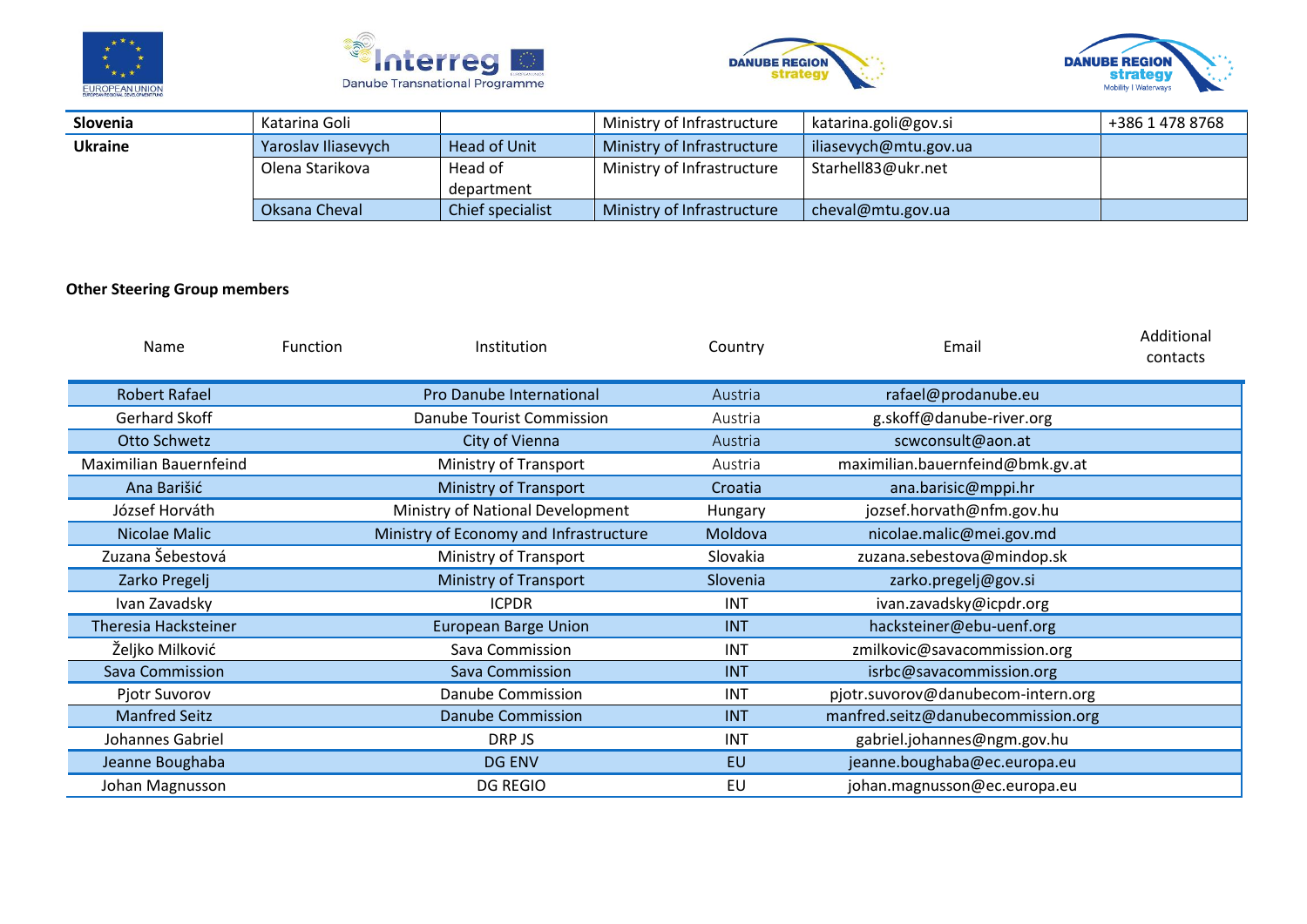







| Slovenia       | Katarina Goli       |                  | Ministry of Infrastructure | katarina.goli@gov.si  | +386 1 478 8768 |
|----------------|---------------------|------------------|----------------------------|-----------------------|-----------------|
| <b>Ukraine</b> | Yaroslav Iliasevych | Head of Unit     | Ministry of Infrastructure | iliasevych@mtu.gov.ua |                 |
|                | Olena Starikova     | Head of          | Ministry of Infrastructure | Starhell83@ukr.net    |                 |
|                |                     | department       |                            |                       |                 |
|                | Oksana Cheval       | Chief specialist | Ministry of Infrastructure | cheval@mtu.gov.ua     |                 |

## **Other Steering Group members**

| <b>Name</b>                 | <b>Function</b> | Institution                            | Country    | Email                              | Additional<br>contacts |
|-----------------------------|-----------------|----------------------------------------|------------|------------------------------------|------------------------|
| <b>Robert Rafael</b>        |                 | Pro Danube International               | Austria    | rafael@prodanube.eu                |                        |
| Gerhard Skoff               |                 | Danube Tourist Commission              | Austria    | g.skoff@danube-river.org           |                        |
| Otto Schwetz                |                 | City of Vienna                         | Austria    | scwconsult@aon.at                  |                        |
| Maximilian Bauernfeind      |                 | Ministry of Transport                  | Austria    | maximilian.bauernfeind@bmk.gv.at   |                        |
| Ana Barišić                 |                 | Ministry of Transport                  | Croatia    | ana.barisic@mppi.hr                |                        |
| József Horváth              |                 | Ministry of National Development       | Hungary    | jozsef.horvath@nfm.gov.hu          |                        |
| Nicolae Malic               |                 | Ministry of Economy and Infrastructure | Moldova    | nicolae.malic@mei.gov.md           |                        |
| Zuzana Šebestová            |                 | Ministry of Transport                  | Slovakia   | zuzana.sebestova@mindop.sk         |                        |
| Zarko Pregelj               |                 | <b>Ministry of Transport</b>           | Slovenia   | zarko.pregelj@gov.si               |                        |
| Ivan Zavadsky               |                 | <b>ICPDR</b>                           | INT        | ivan.zavadsky@icpdr.org            |                        |
| <b>Theresia Hacksteiner</b> |                 | <b>European Barge Union</b>            | <b>INT</b> | hacksteiner@ebu-uenf.org           |                        |
| Željko Milković             |                 | Sava Commission                        | INT        | zmilkovic@savacommission.org       |                        |
| Sava Commission             |                 | Sava Commission                        | <b>INT</b> | isrbc@savacommission.org           |                        |
| Pjotr Suvorov               |                 | Danube Commission                      | <b>INT</b> | pjotr.suvorov@danubecom-intern.org |                        |
| <b>Manfred Seitz</b>        |                 | <b>Danube Commission</b>               | <b>INT</b> | manfred.seitz@danubecommission.org |                        |
| Johannes Gabriel            |                 | DRP JS                                 | <b>INT</b> | gabriel.johannes@ngm.gov.hu        |                        |
| Jeanne Boughaba             |                 | <b>DG ENV</b>                          | EU         | jeanne.boughaba@ec.europa.eu       |                        |
| Johan Magnusson             |                 | <b>DG REGIO</b>                        | EU         | johan.magnusson@ec.europa.eu       |                        |